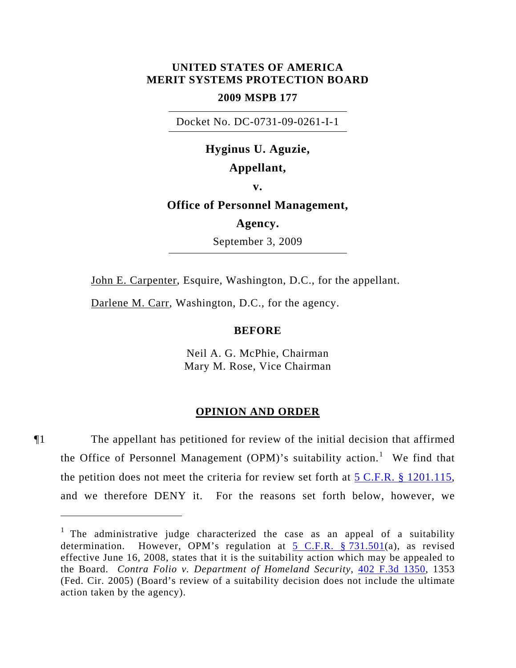## **UNITED STATES OF AMERICA MERIT SYSTEMS PROTECTION BOARD**

## **2009 MSPB 177**

Docket No. DC-0731-09-0261-I-1

# **Hyginus U. Aguzie, Appellant,**

**v.** 

# **Office of Personnel Management,**

## **Agency.**

September 3, 2009

John E. Carpenter, Esquire, Washington, D.C., for the appellant.

Darlene M. Carr, Washington, D.C., for the agency.

 $\overline{a}$ 

### **BEFORE**

Neil A. G. McPhie, Chairman Mary M. Rose, Vice Chairman

#### **OPINION AND ORDER**

¶1 The appellant has petitioned for review of the initial decision that affirmed the Office of Personnel Management (OPM)'s suitability action.<sup>[1](#page-0-0)</sup> We find that the petition does not meet the criteria for review set forth at [5 C.F.R. § 1201.115](http://frwebgate.access.gpo.gov/cgi-bin/get-cfr.cgi?YEAR=current&TITLE=5&PART=1201&SECTION=115&TYPE=PDF), and we therefore DENY it. For the reasons set forth below, however, we

<span id="page-0-0"></span><sup>&</sup>lt;sup>1</sup> The administrative judge characterized the case as an appeal of a suitability determination. However, OPM's regulation at [5 C.F.R. § 731.501\(](http://frwebgate.access.gpo.gov/cgi-bin/get-cfr.cgi?YEAR=current&TITLE=5&PART=731&SECTION=501&TYPE=PDF)a), as revised effective June 16, 2008, states that it is the suitability action which may be appealed to the Board. *Contra Folio v. Department of Homeland Security*, [402 F.3d 1350](http://lawlibrary.rutgers.edu/resource.org/fed_reporter/F3/402/402.F3d.1350.html), 1353 (Fed. Cir. 2005) (Board's review of a suitability decision does not include the ultimate action taken by the agency).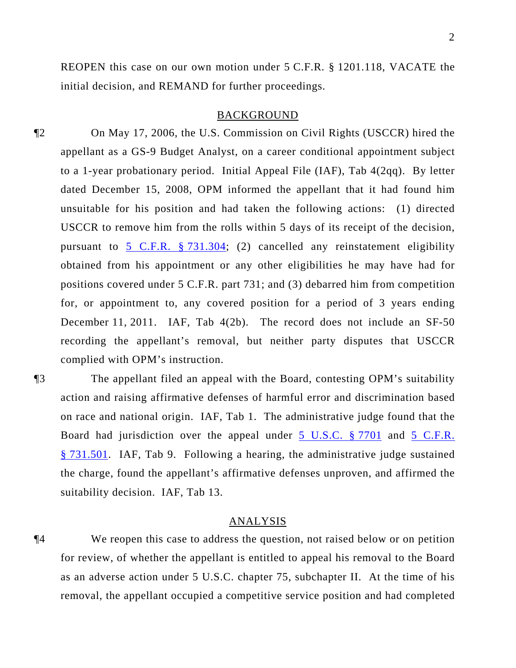REOPEN this case on our own motion under 5 C.F.R. § 1201.118, VACATE the initial decision, and REMAND for further proceedings.

#### BACKGROUND

¶2 On May 17, 2006, the U.S. Commission on Civil Rights (USCCR) hired the appellant as a GS-9 Budget Analyst, on a career conditional appointment subject to a 1-year probationary period. Initial Appeal File (IAF), Tab 4(2qq). By letter dated December 15, 2008, OPM informed the appellant that it had found him unsuitable for his position and had taken the following actions: (1) directed USCCR to remove him from the rolls within 5 days of its receipt of the decision, pursuant to [5 C.F.R. § 731.304](http://frwebgate.access.gpo.gov/cgi-bin/get-cfr.cgi?YEAR=current&TITLE=5&PART=731&SECTION=304&TYPE=PDF); (2) cancelled any reinstatement eligibility obtained from his appointment or any other eligibilities he may have had for positions covered under 5 C.F.R. part 731; and (3) debarred him from competition for, or appointment to, any covered position for a period of 3 years ending December 11, 2011. IAF, Tab 4(2b). The record does not include an SF-50 recording the appellant's removal, but neither party disputes that USCCR complied with OPM's instruction.

¶3 The appellant filed an appeal with the Board, contesting OPM's suitability action and raising affirmative defenses of harmful error and discrimination based on race and national origin. IAF, Tab 1. The administrative judge found that the Board had jurisdiction over the appeal under [5 U.S.C. § 7701](http://www.law.cornell.edu/uscode/5/7701.html) and [5 C.F.R.](http://frwebgate.access.gpo.gov/cgi-bin/get-cfr.cgi?YEAR=current&TITLE=5&PART=731&SECTION=501&TYPE=PDF)  [§ 731.501.](http://frwebgate.access.gpo.gov/cgi-bin/get-cfr.cgi?YEAR=current&TITLE=5&PART=731&SECTION=501&TYPE=PDF) IAF, Tab 9. Following a hearing, the administrative judge sustained the charge, found the appellant's affirmative defenses unproven, and affirmed the suitability decision. IAF, Tab 13.

## ANALYSIS

¶4 We reopen this case to address the question, not raised below or on petition for review, of whether the appellant is entitled to appeal his removal to the Board as an adverse action under 5 U.S.C. chapter 75, subchapter II. At the time of his removal, the appellant occupied a competitive service position and had completed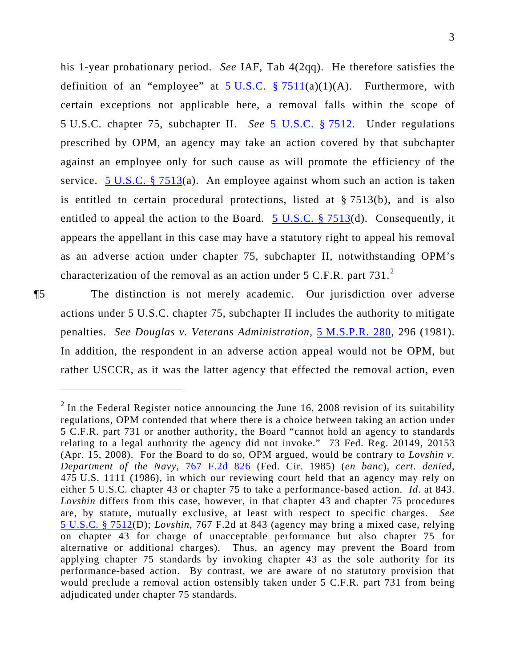his 1-year probationary period. *See* IAF, Tab 4(2qq). He therefore satisfies the definition of an "employee" at  $5 \text{ U.S.C. }$  \$7511(a)(1)(A). Furthermore, with certain exceptions not applicable here, a removal falls within the scope of 5 U.S.C. chapter 75, subchapter II. *See* 5 U.S.C. § 7512. Under regulations prescribed by OPM, an agency may take an action covered by that subchapter against an employee only for such cause as will promote the efficiency of the service. 5 U.S.C. § 7513(a). An employee against whom such an action is taken is entitled to certain procedural protections, listed at § 7513(b), and is also entitled to appeal the action to the Board. 5 U.S.C. § 7513(d). Consequently, it appears the appellant in this case may have a statutory right to appeal his removal as an adverse action under chapter 75, subchapter II, notwithstanding OPM's characterization of the removal as an action under 5 C.F.R. part 731.<sup>2</sup>

¶5 The distinction is not merely academic. Our jurisdiction over adverse actions under 5 U.S.C. chapter 75, subchapter II includes the authority to mitigate penalties. *See Douglas v. Veterans Administration*, [5 M.S.P.R. 280](http://www.mspb.gov/netsearch/getdecision.aspx?volume=5&page=280), 296 (1981). In addition, the respondent in an adverse action appeal would not be OPM, but rather USCCR, as it was the latter agency that effected the removal action, even

 $2$  In the Federal Register notice announcing the June 16, 2008 revision of its suitability regulations, OPM contended that where there is a choice between taking an action under 5 C.F.R. part 731 or another authority, the Board "cannot hold an agency to standards relating to a legal authority the agency did not invoke." 73 Fed. Reg. 20149, 20153 (Apr. 15, 2008). For the Board to do so, OPM argued, would be contrary to *Lovshin v. Department of the Navy*, [767 F.2d 826](http://lawlibrary.rutgers.edu/resource.org/fed_reporter/F2/767/767.F2d.826.html) (Fed. Cir. 1985) (*en banc*), *cert. denied*, 475 U.S. 1111 (1986), in which our reviewing court held that an agency may rely on either 5 U.S.C. chapter 43 or chapter 75 to take a performance-based action. *Id*. at 843. *Lovshin* differs from this case, however, in that chapter 43 and chapter 75 procedures are, by statute, mutually exclusive, at least with respect to specific charges. *See*  [5 U.S.C. § 7512](http://www.law.cornell.edu/uscode/5/7512.html)(D); *Lovshin*, 767 F.2d at 843 (agency may bring a mixed case, relying on chapter 43 for charge of unacceptable performance but also chapter 75 for alternative or additional charges). Thus, an agency may prevent the Board from applying chapter 75 standards by invoking chapter 43 as the sole authority for its performance-based action. By contrast, we are aware of no statutory provision that would preclude a removal action ostensibly taken under 5 C.F.R. part 731 from being adjudicated under chapter 75 standards.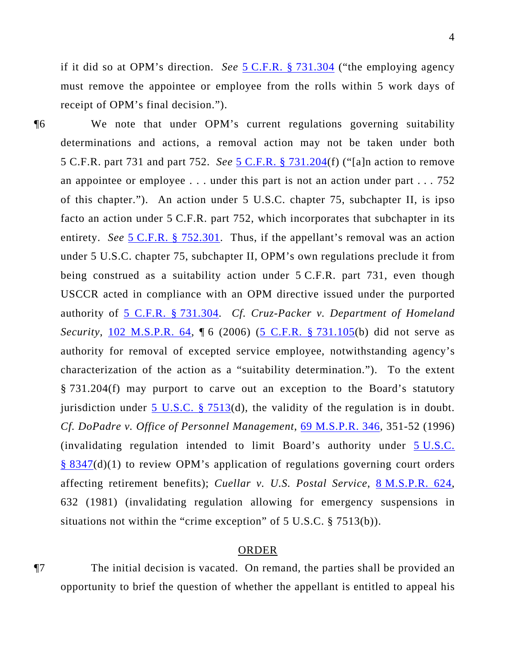if it did so at OPM's direction. *See* 5 C.F.R. § 731.304 ("the employing agency must remove the appointee or employee from the rolls within 5 work days of receipt of OPM's final decision.").

¶6 We note that under OPM's current regulations governing suitability determinations and actions, a removal action may not be taken under both 5 C.F.R. part 731 and part 752. *See* [5 C.F.R. § 731.204\(](http://frwebgate.access.gpo.gov/cgi-bin/get-cfr.cgi?YEAR=current&TITLE=5&PART=731&SECTION=204&TYPE=PDF)f) ("[a]n action to remove an appointee or employee . . . under this part is not an action under part . . . 752 of this chapter."). An action under 5 U.S.C. chapter 75, subchapter II, is ipso facto an action under 5 C.F.R. part 752, which incorporates that subchapter in its entirety. *See* [5 C.F.R. § 752.301](http://frwebgate.access.gpo.gov/cgi-bin/get-cfr.cgi?YEAR=current&TITLE=5&PART=752&SECTION=301&TYPE=PDF). Thus, if the appellant's removal was an action under 5 U.S.C. chapter 75, subchapter II, OPM's own regulations preclude it from being construed as a suitability action under 5 C.F.R. part 731, even though USCCR acted in compliance with an OPM directive issued under the purported authority of [5 C.F.R. § 731.304.](http://frwebgate.access.gpo.gov/cgi-bin/get-cfr.cgi?YEAR=current&TITLE=5&PART=731&SECTION=304&TYPE=PDF) *Cf. Cruz-Packer v. Department of Homeland Security*, [102 M.S.P.R. 64](http://www.mspb.gov/netsearch/getdecision.aspx?volume=102&page=64),  $\[\,6\]$  (2006) ([5 C.F.R. § 731.105](http://frwebgate.access.gpo.gov/cgi-bin/get-cfr.cgi?YEAR=current&TITLE=5&PART=731&SECTION=105&TYPE=PDF)(b) did not serve as authority for removal of excepted service employee, notwithstanding agency's characterization of the action as a "suitability determination."). To the extent § 731.204(f) may purport to carve out an exception to the Board's statutory jurisdiction under 5 U.S.C.  $\S$  7513(d), the validity of the regulation is in doubt. *Cf. DoPadre v. Office of Personnel Management*, [69 M.S.P.R. 346](http://www.mspb.gov/netsearch/getdecision.aspx?volume=69&page=346), 351-52 (1996) (invalidating regulation intended to limit Board's authority under [5 U.S.C.](http://www.law.cornell.edu/uscode/5/8347.html)  [§ 8347\(](http://www.law.cornell.edu/uscode/5/8347.html)d)(1) to review OPM's application of regulations governing court orders affecting retirement benefits); *Cuellar v. U.S. Postal Service*, [8 M.S.P.R. 624](http://www.mspb.gov/netsearch/getdecision.aspx?volume=8&page=624), 632 (1981) (invalidating regulation allowing for emergency suspensions in situations not within the "crime exception" of 5 U.S.C. § 7513(b)).

## ORDER

¶7 The initial decision is vacated. On remand, the parties shall be provided an opportunity to brief the question of whether the appellant is entitled to appeal his